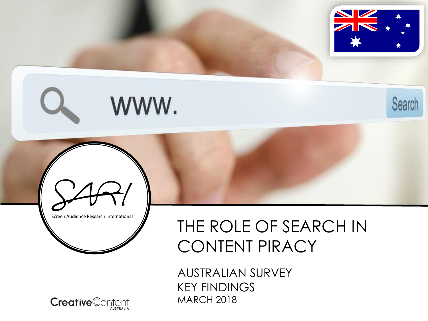

Search



WWW.



AUSTRALIAN SURVEY KEY FINDINGS MARCH 2018

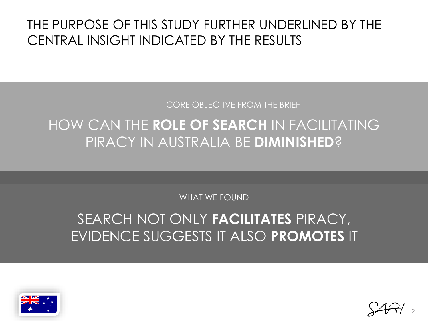### THE PURPOSE OF THIS STUDY FURTHER UNDERLINED BY THE CENTRAL INSIGHT INDICATED BY THE RESULTS

CORE OBJECTIVE FROM THE BRIEF

# HOW CAN THE **ROLE OF SEARCH** IN FACILITATING PIRACY IN AUSTRALIA BE **DIMINISHED**?

WHAT WE FOUND

# SEARCH NOT ONLY **FACILITATES** PIRACY, EVIDENCE SUGGESTS IT ALSO **PROMOTES** IT



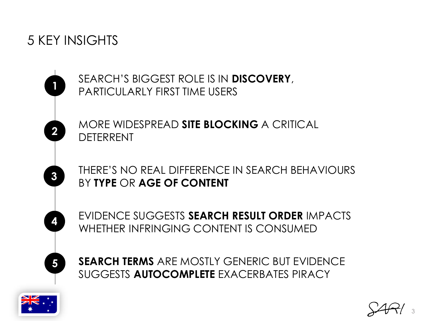### 5 KEY INSIGHTS

**1**

**2**

**3**

**4**

**5**

SEARCH'S BIGGEST ROLE IS IN **DISCOVERY**, PARTICULARLY FIRST TIME USERS

MORE WIDESPREAD **SITE BLOCKING** A CRITICAL DETERRENT

THERE'S NO REAL DIFFERENCE IN SEARCH BEHAVIOURS BY **TYPE** OR **AGE OF CONTENT**

EVIDENCE SUGGESTS **SEARCH RESULT ORDER** IMPACTS WHETHER INFRINGING CONTENT IS CONSUMED

**SEARCH TERMS** ARE MOSTLY GENERIC BUT EVIDENCE SUGGESTS **AUTOCOMPLETE** EXACERBATES PIRACY



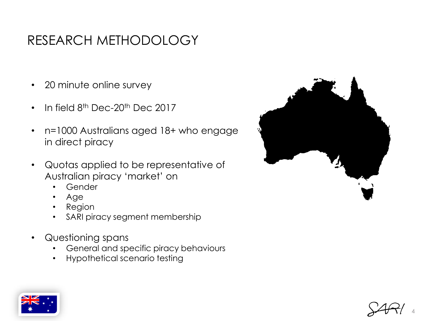# RESEARCH METHODOLOGY

- 20 minute online survey
- In field  $8<sup>th</sup>$  Dec-20<sup>th</sup> Dec 2017
- n=1000 Australians aged 18+ who engage in direct piracy
- Quotas applied to be representative of Australian piracy 'market' on
	- Gender
	- Age
	- Region
	- SARI piracy segment membership
- Questioning spans
	- General and specific piracy behaviours
	- Hypothetical scenario testing





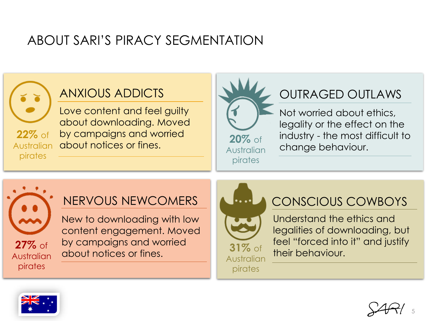# ABOUT SARI'S PIRACY SEGMENTATION



### ANXIOUS ADDICTS

Love content and feel guilty about downloading. Moved by campaigns and worried Australian about notices or fines.



### OUTRAGED OUTLAWS

Not worried about ethics, legality or the effect on the industry - the most difficult to change behaviour.



### NERVOUS NEWCOMERS

New to downloading with low content engagement. Moved by campaigns and worried about notices or fines.



### CONSCIOUS COWBOYS

Understand the ethics and legalities of downloading, but feel "forced into it" and justify their behaviour.



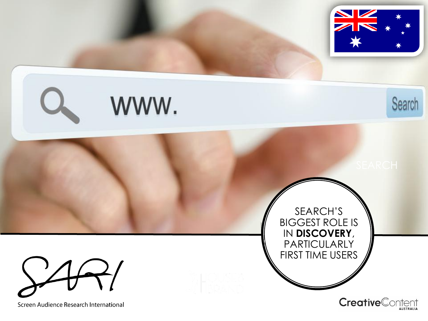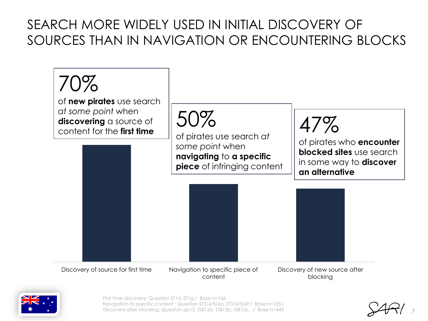# SEARCH MORE WIDELY USED IN INITIAL DISCOVERY OF SOURCES THAN IN NAVIGATION OR ENCOUNTERING BLOCKS





First time discovery: Question ST1d, ST1g / Base n=166 Navigation to specific content : Question ST3/4/5/6a, ST3/4/5/6f / Base n=1051 Discovery after blocking: Question gb12, GB13a, GB13b, GB13c, / Base n=443

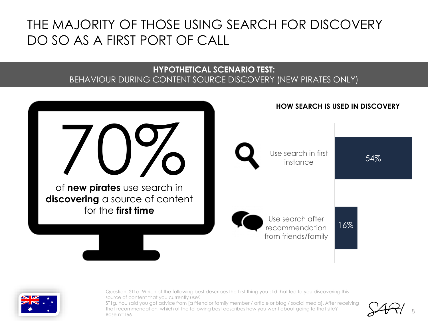### THE MAJORITY OF THOSE USING SEARCH FOR DISCOVERY DO SO AS A FIRST PORT OF CALL

### **HYPOTHETICAL SCENARIO TEST:**  BEHAVIOUR DURING CONTENT SOURCE DISCOVERY (NEW PIRATES ONLY)





Question: ST1d. Which of the following best describes the first thing you did that led to you discovering this source of content that you currently use?

ST1g. You said you got advice from [a friend or family member / article or blog / social media]. After receiving that recommendation, which of the following best describes how you went about going to that site? Base  $n=166$ 

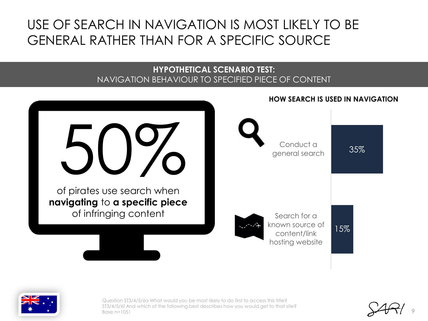# USE OF SEARCH IN NAVIGATION IS MOST LIKELY TO BE GENERAL RATHER THAN FOR A SPECIFIC SOURCE

### **HYPOTHETICAL SCENARIO TEST:**  NAVIGATION BEHAVIOUR TO SPECIFIED PIECE OF CONTENT





Question ST3/4/5/6a What would you be most likely to do first to access this title? ST3/4/5/6f And which of the following best describes how you would get to that site? Base n=1051

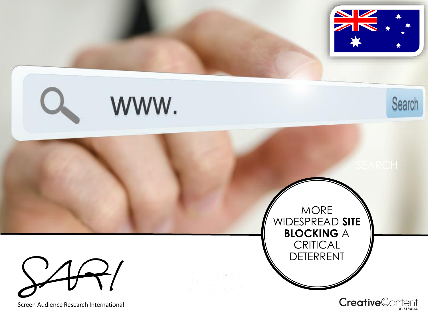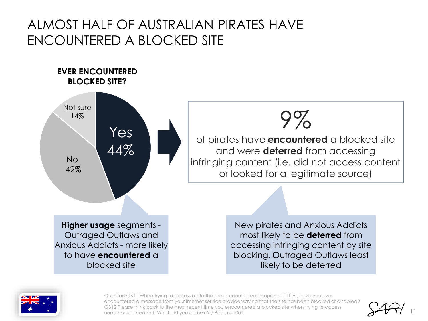### ALMOST HALF OF AUSTRALIAN PIRATES HAVE ENCOUNTERED A BLOCKED SITE



**EVER ENCOUNTERED** 



of pirates have **encountered** a blocked site and were **deterred** from accessing infringing content (i.e. did not access content or looked for a legitimate source)

> New pirates and Anxious Addicts most likely to be **deterred** from accessing infringing content by site blocking. Outraged Outlaws least likely to be deterred



Question GB11 When trying to access a site that hosts unauthorized copies of (TITLE), have you ever encountered a message from your internet service provider saying that the site has been blocked or disabled? GB12 Please think back to the most recent time you encountered a blocked site when trying to access unauthorized content. What did you do next? / Base n=1001

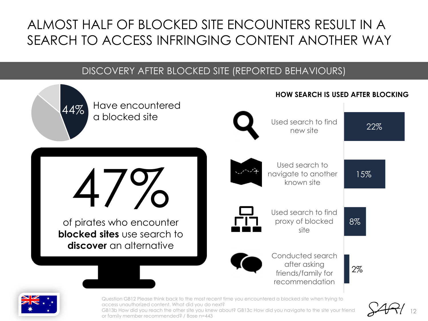# ALMOST HALF OF BLOCKED SITE ENCOUNTERS RESULT IN A SEARCH TO ACCESS INFRINGING CONTENT ANOTHER WAY

### DISCOVERY AFTER BLOCKED SITE (REPORTED BEHAVIOURS)





Question GB12 Please think back to the most recent time you encountered a blocked site when trying to access unauthorized content. What did you do next?

GB13b How did you reach the other site you knew about? GB13c How did you navigate to the site your friend or family member recommended? / Base n=443

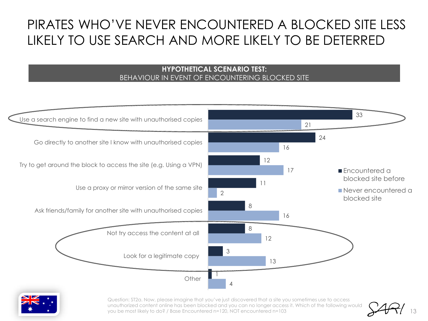# PIRATES WHO'VE NEVER ENCOUNTERED A BLOCKED SITE LESS LIKELY TO USE SEARCH AND MORE LIKELY TO BE DETERRED

#### **HYPOTHETICAL SCENARIO TEST:**  BEHAVIOUR IN EVENT OF ENCOUNTERING BLOCKED SITE





Question: ST2a. Now, please imagine that you've just discovered that a site you sometimes use to access unauthorized content online has been blocked and you can no longer access it. Which of the following would you be most likely to do? / Base Encountered n=120, NOT encountered n=103

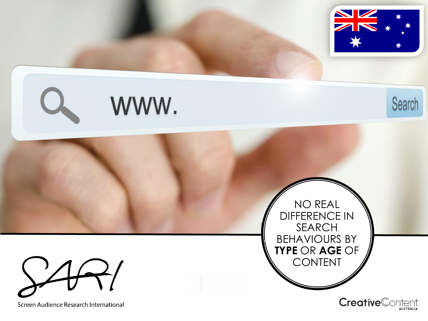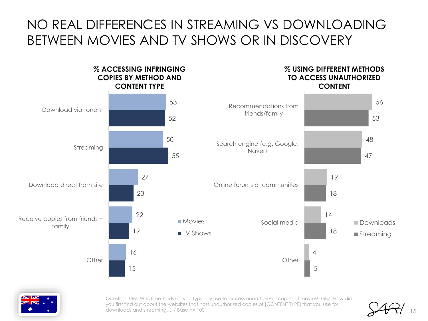### NO REAL DIFFERENCES IN STREAMING VS DOWNLOADING BETWEEN MOVIES AND TV SHOWS OR IN DISCOVERY





Question: GB5 What methods do you typically use to access unauthorized copies of movies? GB7. How did you first find out about the websites that host unauthorized copies of [CONTENT TYPE] that you use for downloads and streaming…, / Base n= 1001

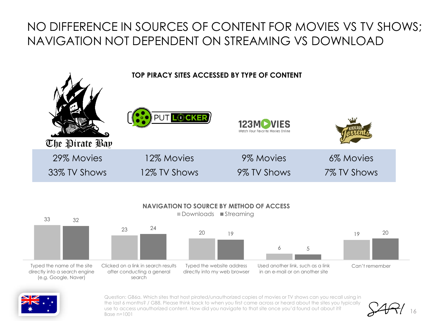### NO DIFFERENCE IN SOURCES OF CONTENT FOR MOVIES VS TV SHOWS; NAVIGATION NOT DEPENDENT ON STREAMING VS DOWNLOAD







Question: GB6a. Which sites that host pirated/unauthorized copies of movies or TV shows can you recall using in the last 6 months? / GB8. Please think back to when you first came across or heard about the sites you typically use to access unauthorized content. How did you navigate to that site once you'd found out about it? Base n=1001

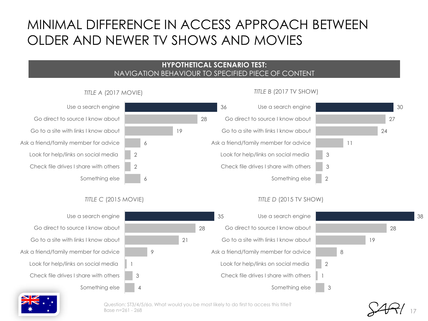### MINIMAL DIFFERENCE IN ACCESS APPROACH BETWEEN OLDER AND NEWER TV SHOWS AND MOVIES

#### **HYPOTHETICAL SCENARIO TEST:**  NAVIGATION BEHAVIOUR TO SPECIFIED PIECE OF CONTENT

35

28

21

9

1

3

4



*TITLE D* (2015 TV SHOW)

#### *TITLE A* (2017 MOVIE)

Use a search engine Go direct to source I know about Go to a site with links I know about Ask a friend/family member for advice Look for help/links on social media Check file drives I share with others Something else

#### *TITLE C* (2015 MOVIE)

2 2

Use a search engine Go direct to source I know about Go to a site with links I know about Ask a friend/family member for advice Look for help/links on social media Check file drives I share with others Something else

28 19 8 2 1 3 Use a search engine Go direct to source I know about Go to a site with links I know about Ask a friend/family member for advice Look for help/links on social media Check file drives I share with others Something else

17

38

Question: ST3/4/5/6a. What would you be most likely to do first to access this title? Base n=261 - 268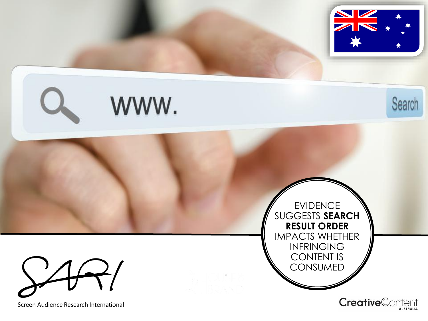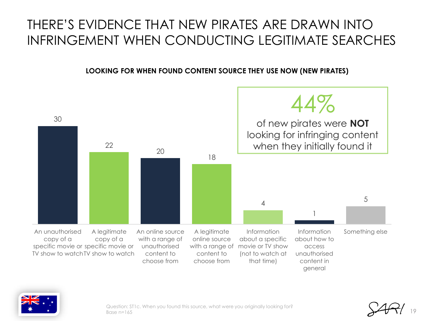## THERE'S EVIDENCE THAT NEW PIRATES ARE DRAWN INTO INFRINGEMENT WHEN CONDUCTING LEGITIMATE SEARCHES

### **LOOKING FOR WHEN FOUND CONTENT SOURCE THEY USE NOW (NEW PIRATES)**





Question: ST1c. When you found this source, what were you originally looking for? Base  $n=165$ 

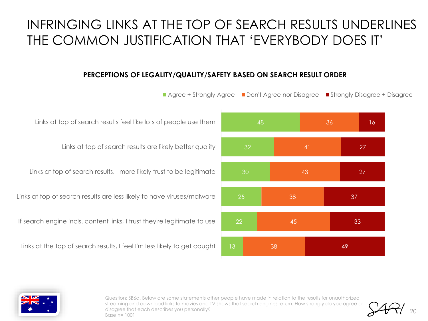### INFRINGING LINKS AT THE TOP OF SEARCH RESULTS UNDERLINES THE COMMON JUSTIFICATION THAT 'EVERYBODY DOES IT'

#### **PERCEPTIONS OF LEGALITY/QUALITY/SAFETY BASED ON SEARCH RESULT ORDER**

48 30 25 22 36 41 43 38 45 38 16 27 27 37 33 49 **Agree + Strongly Agree Don't Agree nor Disagree Disagree Strongly Disagree + Disagree** 

Links at top of search results feel like lots of people use them

Links at top of search results are likely better quality

Links at top of search results, I more likely trust to be legitimate

Links at top of search results are less likely to have viruses/malware

If search engine incls. content links, I trust they're legitimate to use

Links at the top of search results, I feel I'm less likely to get caught



Question: SB6a. Below are some statements other people have made in relation to the results for unauthorized streaming and download links to movies and TV shows that search engines return. How strongly do you agree or disagree that each describes you personally? Base n= 1001

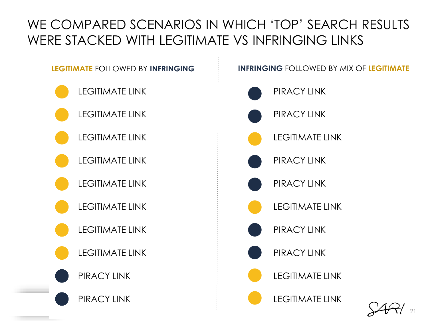# WE COMPARED SCENARIOS IN WHICH 'TOP' SEARCH RESULTS WERE STACKED WITH LEGITIMATE VS INFRINGING LINKS

- LEGITIMATE LINK
- LEGITIMATE LINK
- LEGITIMATE LINK
- LEGITIMATE LINK
- LEGITIMATE LINK
- LEGITIMATE LINK
- LEGITIMATE LINK
	- LEGITIMATE LINK
- PIRACY LINK



### **LEGITIMATE** FOLLOWED BY **INFRINGING INFRINGING** FOLLOWED BY MIX OF **LEGITIMATE**



21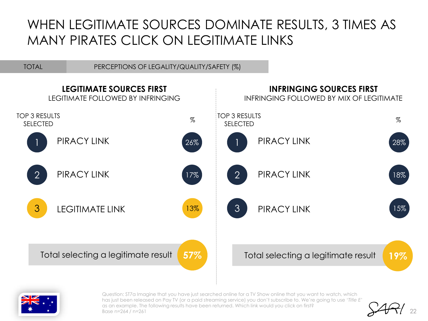### WHEN LEGITIMATE SOURCES DOMINATE RESULTS, 3 TIMES AS MANY PIRATES CLICK ON LEGITIMATE LINKS

TOTAL PERCEPTIONS OF LEGALITY/QUALITY/SAFETY (%)





Question: ST7a Imagine that you have just searched online for a TV Show online that you want to watch, which has just been released on Pay TV (or a paid streaming service) you don't subscribe to. We're going to use '*Title E*' as an example. The following results have been returned. Which link would you click on first? Base n=264 / n=261

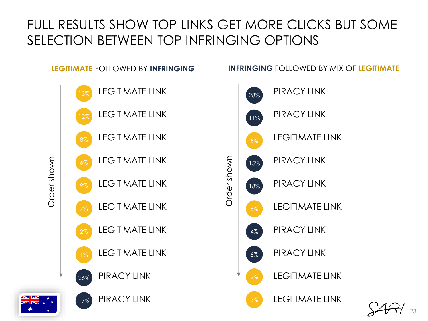# FULL RESULTS SHOW TOP LINKS GET MORE CLICKS BUT SOME SELECTION BETWEEN TOP INFRINGING OPTIONS



### **LEGITIMATE** FOLLOWED BY **INFRINGING INFRINGING** FOLLOWED BY MIX OF **LEGITIMATE**



23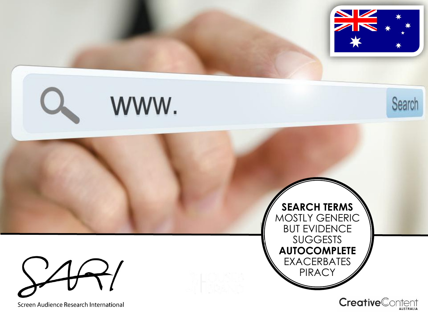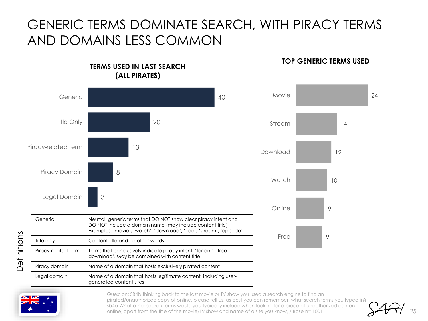# GENERIC TERMS DOMINATE SEARCH, WITH PIRACY TERMS AND DOMAINS LESS COMMON

#### 40 20 13 8 3 Generic Title Only Piracy-related term Piracy Domain Legal Domain **(ALL PIRATES)** Movie Stream Download **Watch** Online Free Generic **Neutral, generic terms that DO NOT show clear piracy intent and** DO NOT include a domain name (may include content title) Examples: 'movie', 'watch', 'download', 'free', 'stream', 'episode' Title only **Content title and no other words** Piracy-related term | Terms that conclusively indicate piracy intent: 'torrent', 'free download'. May be combined with content title. Piracy domain Name of a domain that hosts exclusively pirated content Legal domain Name of a domain that hosts legitimate content, including usergenerated content sites

**TERMS USED IN LAST SEARCH** 

#### **TOP GENERIC TERMS USED**





Definitions Definitions

> Question: SB4b thinking back to the last movie or TV show you used a search engine to find an pirated/unauthorized copy of online, please tell us, as best you can remember, what search terms you typed in? sb4a What other search terms would you typically include when looking for a piece of unauthorized content online, apart from the title of the movie/TV show and name of a site you know, / Base n= 1001

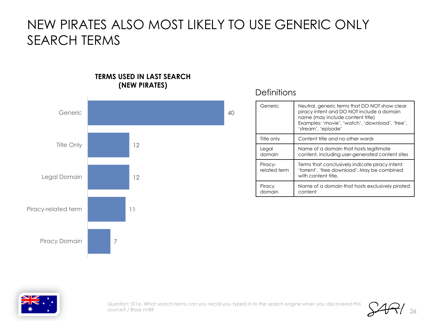### NEW PIRATES ALSO MOST LIKELY TO USE GENERIC ONLY SEARCH TERMS

#### **TERMS USED IN LAST SEARCH (NEW PIRATES)**



### **Definitions**

| Generic                 | Neutral, generic terms that DO NOT show clear<br>piracy intent and DO NOT include a domain<br>name (may include content title)<br>Examples: 'movie', 'watch', 'download', 'free',<br>'stream', 'episode' |
|-------------------------|----------------------------------------------------------------------------------------------------------------------------------------------------------------------------------------------------------|
| Title only              | Content title and no other words                                                                                                                                                                         |
| Legal<br>domain         | Name of a domain that hosts legitimate<br>content, including user-generated content sites                                                                                                                |
| Piracy-<br>related term | Terms that conclusively indicate piracy intent:<br>'torrent', 'free download'. May be combined<br>with content title.                                                                                    |
| Piracy<br>domain        | Name of a domain that hosts exclusively pirated<br>content                                                                                                                                               |



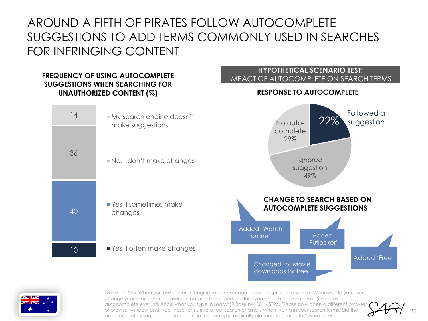### AROUND A FIFTH OF PIRATES FOLLOW AUTOCOMPLETE SUGGESTIONS TO ADD TERMS COMMONLY USED IN SEARCHES FOR INFRINGING CONTENT

#### **FREQUENCY OF USING AUTOCOMPLETE SUGGESTIONS WHEN SEARCHING FOR UNAUTHORIZED CONTENT (%)**

### **HYPOTHETICAL SCENARIO TEST:**  IMPACT OF AUTOCOMPLETE ON SEARCH TERMS **RESPONSE TO AUTOCOMPLETE**





Question: SB5. When you use a search engine to access unauthorized copies of movies or TV shows, do you ever change your search terms based on automatic suggestions that your search engine makes (i.e. does autocomplete ever influence what you type in search)? Base n=1001 / ST2c. Please now open a different browser or browser window and type these terms into a real search engine…When typing in your search terms, did the autocomplete / suggest function change the term you originally planned to search for? Base n=76

27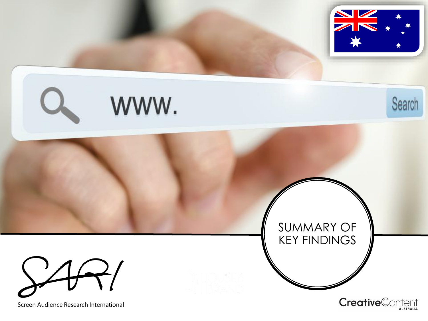